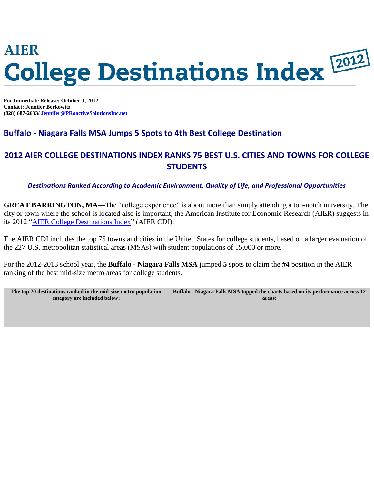# **AIER Gollege Destinations Index 2012**

**For Immediate Release: October 1, 2012 Contact: Jennifer Berkowitz (828) 687-2633/ [Jennifer@PRoactiveSolutionsInc.net](mailto:Jennifer@PRoactiveSolutionsInc.net?subject=AIER%20CDI)**

### **Buffalo - Niagara Falls MSA Jumps 5 Spots to 4th Best College Destination**

## **2012 AIER COLLEGE DESTINATIONS INDEX RANKS 75 BEST U.S. CITIES AND TOWNS FOR COLLEGE STUDENTS**

*Destinations Ranked According to Academic Environment, Quality of Life, and Professional Opportunities*

**GREAT BARRINGTON, MA—The "college experience" is about more than simply attending a top-notch university. The** city or town where the school is located also is important, the American Institute for Economic Research (AIER) suggests in its 2012 ["AIER College Destinations Index"](http://proactivesolutionsinc.pr-optout.com/Url.aspx?521884x2062821x-2480567) (AIER CDI).

The AIER CDI includes the top 75 towns and cities in the United States for college students, based on a larger evaluation of the 227 U.S. metropolitan statistical areas (MSAs) with student populations of 15,000 or more.

For the 2012-2013 school year, the **Buffalo - Niagara Falls MSA** jumped **5** spots to claim the **#4** position in the AIER ranking of the best mid-size metro areas for college students.

| The top 20 destinations ranked in the mid-size metro population | Buffalo - Niagara Falls MSA topped the charts based on its performance across 12 |  |  |
|-----------------------------------------------------------------|----------------------------------------------------------------------------------|--|--|
| category are included below:                                    | areas:                                                                           |  |  |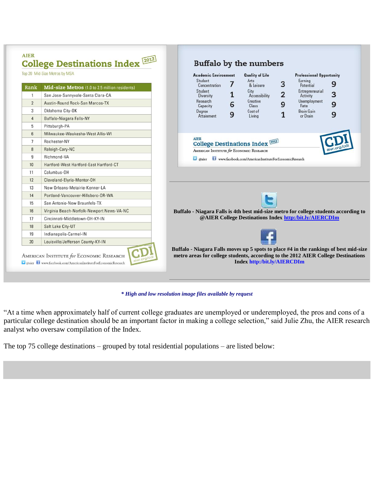|                                                               | <b>College Destinations Index 2012</b><br>Top 20 Mid-Size Metros by MSA                                                                                                | <b>Academic Environment</b><br><b>Quality of Life</b><br><b>Professional Opportunity</b>                                                                                                                                                                                                                                                                                                     |
|---------------------------------------------------------------|------------------------------------------------------------------------------------------------------------------------------------------------------------------------|----------------------------------------------------------------------------------------------------------------------------------------------------------------------------------------------------------------------------------------------------------------------------------------------------------------------------------------------------------------------------------------------|
| Rank<br>$\mathbf{1}$<br>$\overline{2}$<br>3<br>$\overline{4}$ | Mid-size Metros (1.0 to 2.5 million residents)<br>San Jose-Sunnyvale-Santa Clara-CA<br>Austin-Round Rock-San Marcos-TX<br>Oklahoma City-OK<br>Buffalo-Niagara Falls-NY | Student<br>Arts<br>Earning<br>3<br>7<br>9<br>& Leisure<br>Concentration<br>Potential<br>Student<br>City<br>Entrepreneurial<br>$\overline{2}$<br>3<br>1<br>Accessibility<br>Diversity<br>Activity<br>Unemployment<br>Research<br>Creative<br>9<br>9<br>6<br>Capacity<br>Class<br>Rate<br><b>Brain Gain</b><br>Cost of<br>Degree<br>$\mathbf{1}$<br>9<br>9<br>Attainment<br>or Drain<br>Living |
| 5<br>$6\overline{6}$<br>$\overline{7}$<br>8<br>9<br>10        | Pittsburgh-PA<br>Milwaukee-Waukesha-West Allis-WI<br>Rochester-NY<br>Raleigh-Cary-NC<br>Richmond-VA<br>Hartford-West Hartford-East Hartford-CT                         | <b>AIER</b><br><b>College Destinations Index 2012</b><br>AMERICAN INSTITUTE for ECONOMIC RESEARCH<br>aier www.facebook.com/AmericanInstituteForEconomicResearch                                                                                                                                                                                                                              |
| 11<br>12                                                      | Columbus-OH<br>Cleveland-Elyria-Mentor-OH                                                                                                                              |                                                                                                                                                                                                                                                                                                                                                                                              |
| 13<br>14<br>15                                                | New Orleans-Metairie-Kenner-LA<br>Portland-Vancouver-Hillsboro-OR-WA                                                                                                   | e                                                                                                                                                                                                                                                                                                                                                                                            |
| 16<br>17                                                      | San Antonio-New Braunfels-TX<br>Virginia Beach-Norfolk-Newport News-VA-NC<br>Cincinnati-Middletown-OH-KY-IN                                                            | Buffalo - Niagara Falls is 4th best mid-size metro for college students according to<br>@AIER College Destinations Index http:/bit.ly/AIERCDIm                                                                                                                                                                                                                                               |
| 18<br>19<br>20                                                | Salt Lake City-UT<br>Indianapolis-Carmel-IN<br>Louisville/Jefferson County-KY-IN                                                                                       |                                                                                                                                                                                                                                                                                                                                                                                              |

*\* High and low resolution image files available by request*

"At a time when approximately half of current college graduates are unemployed or underemployed, the pros and cons of a particular college destination should be an important factor in making a college selection," said Julie Zhu, the AIER research analyst who oversaw compilation of the Index.

The top 75 college destinations – grouped by total residential populations – are listed below: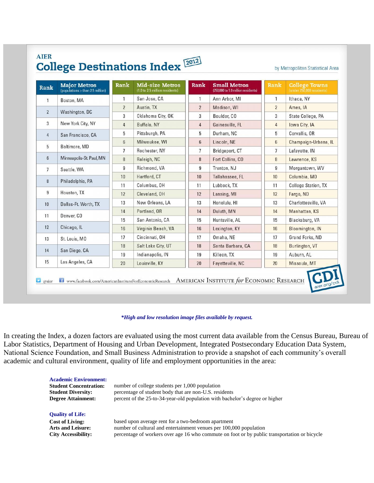| Rank            | <b>Major Metros</b><br>(populations > than 2.5 million) | Rank           | <b>Mid-size Metros</b><br>(1.0 to 2.5 million residents) | Rank           | <b>Small Metros</b><br>(250,000 to 1.0 million residents) | Rank           | <b>College Towns</b><br>(under 250,000 residents). |
|-----------------|---------------------------------------------------------|----------------|----------------------------------------------------------|----------------|-----------------------------------------------------------|----------------|----------------------------------------------------|
| $\overline{1}$  | Boston, MA                                              | 1              | San Jose, CA                                             | $\mathbf{1}$   | Ann Arbor, MI                                             | 1              | Ithaca, NY                                         |
|                 |                                                         | $\overline{2}$ | Austin, TX                                               | $\overline{2}$ | Madison, WI                                               | $\overline{2}$ | Ames, IA                                           |
| $\overline{2}$  | Washington, DC                                          | 3              | Oklahoma City, OK                                        | 3              | Boulder, CO                                               | 3              | State College, PA                                  |
| 3               | New York City, NY                                       | $\overline{4}$ | Buffalo, NY                                              | $\overline{4}$ | Gainesville, FL                                           | $\overline{4}$ | Iowa City, IA                                      |
| $\overline{4}$  | San Francisco, CA                                       | 5              | Pittsburgh, PA                                           | 5              | Durham, NC                                                | 5              | Corvallis, OR                                      |
|                 | Baltimore, MD                                           | 6              | Milwaukee, WI                                            | $6\phantom{1}$ | Lincoln, NE                                               | $6\phantom{1}$ | Champaign-Urbana, IL                               |
| 5               |                                                         | $\overline{7}$ | Rochester, NY                                            | $\overline{7}$ | Bridgeport, CT                                            | $7^{\circ}$    | Lafayette, IN                                      |
| $6\overline{6}$ | Minneapolis-St. Paul, MN                                | 8              | Raleigh, NC                                              | 8              | Fort Collins, CO                                          | 8              | Lawrence, KS                                       |
| $\overline{7}$  | Seattle, WA                                             | 9              | Richmond, VA                                             | $\overline{9}$ | Trenton, NJ                                               | 9              | Morgantown, WV                                     |
|                 |                                                         | 10             | Hartford, CT                                             | 10             | Tallahassee, FL                                           | 10             | Columbia, MO                                       |
| 8               | Philadelphia, PA                                        | 11             | Columbus, OH                                             | 11             | Lubbock, TX                                               | 11             | <b>College Station, TX</b>                         |
| 9               | Houston, TX                                             | 12             | Cleveland, OH                                            | 12             | Lansing, MI                                               | 12             | Fargo, ND                                          |
| 10              | Dallas-Ft. Worth, TX                                    | 13             | New Orleans, LA                                          | 13             | Honolulu, HI                                              | 13             | Charlottesville, VA                                |
|                 |                                                         | 14             | Portland, OR                                             | 14             | Duluth, MN                                                | 14             | Manhattan, KS                                      |
| 11              | Denver, CO                                              | 15             | San Antonio, CA                                          | 15             | Huntsville, AL                                            | 15             | Blacksburg, VA                                     |
| 12              | Chicago, IL                                             | 16             | Virginia Beach, VA                                       | 16             | Lexington, KY                                             | 16             | <b>Bloomington, IN</b>                             |
| 13              | St. Louis, MO                                           | 17             | Cincinnati, OH                                           | 17             | Omaha, NE                                                 | 17             | Grand Forks, ND                                    |
|                 |                                                         | 18             | Salt Lake City, UT                                       | 18             | Santa Barbara, CA                                         | 18             | Burlington, VT                                     |
| 14              | San Diego, CA                                           | 19             | Indianapolis, IN                                         | 19             | Killeen, TX                                               | 19             | Auburn, AL                                         |
| 15              | Los Angeles, CA                                         | 20             | Louisville, KY                                           | 20             | Fayetteville, NC                                          | 20             | Missoula, MT                                       |

## **AIER**  $\overline{\Omega}$

#### *\*High and low resolution image files available by request.*

In creating the Index, a dozen factors are evaluated using the most current data available from the Census Bureau, Bureau of Labor Statistics, Department of Housing and Urban Development, Integrated Postsecondary Education Data System, National Science Foundation, and Small Business Administration to provide a snapshot of each community's overall academic and cultural environment, quality of life and employment opportunities in the area:

| <b>Academic Environment:</b><br><b>Student Concentration:</b><br><b>Student Diversity:</b><br><b>Degree Attainment:</b> | number of college students per 1,000 population<br>percentage of student body that are non-U.S. residents<br>percent of the 25-to-34-year-old population with bachelor's degree or higher |
|-------------------------------------------------------------------------------------------------------------------------|-------------------------------------------------------------------------------------------------------------------------------------------------------------------------------------------|
| <b>Quality of Life:</b>                                                                                                 |                                                                                                                                                                                           |
| <b>Cost of Living:</b>                                                                                                  | based upon average rent for a two-bedroom apartment                                                                                                                                       |
| <b>Arts and Leisure:</b>                                                                                                | number of cultural and entertainment venues per 100,000 population                                                                                                                        |
| <b>City Accessibility:</b>                                                                                              | percentage of workers over age 16 who commute on foot or by public transportation or bicycle                                                                                              |